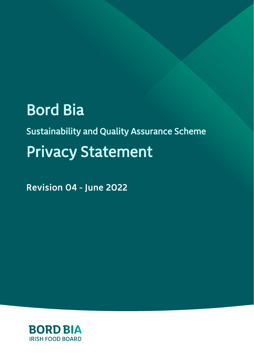# **Bord Bia**

**Sustainability and Quality Assurance Scheme Privacy Statement** 

Revision 04 - June 2022

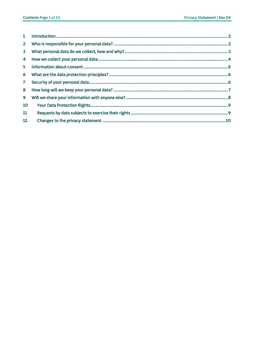| $1 \quad$      |  |
|----------------|--|
| 2 <sup>1</sup> |  |
| 3 <sup>1</sup> |  |
| $\overline{4}$ |  |
| 5 <sup>1</sup> |  |
| 6              |  |
| 7 <sup>7</sup> |  |
| 8              |  |
| 9              |  |
| 10             |  |
| 11             |  |
| 12             |  |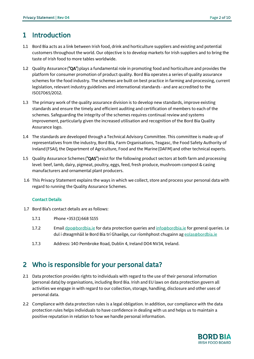#### <span id="page-2-0"></span>1 Introduction

- 1.1 Bord Bia acts as a link between Irish food, drink and horticulture suppliers and existing and potential customers throughout the world. Our objective is to develop markets for Irish suppliers and to bring the taste of Irish food to more tables worldwide.
- 1.2 Quality Assurance ("QA") plays a fundamental role in promoting food and horticulture and provides the platform for consumer promotion of product quality. Bord Bia operates a series of quality assurance schemes for the food industry. The schemes are built on best practice in farming and processing, current legislation, relevant industry guidelines and international standards - and are accredited to the ISO17065/2012.
- 1.3 The primary work of the quality assurance division is to develop new standards, improve existing standards and ensure the timely and efficient auditing and certification of members to each of the schemes. Safeguarding the integrity of the schemes requires continual review and systems improvement, particularly given the increased utilisation and recognition of the Bord Bia Quality Assurance logo.
- 1.4 The standards are developed through a Technical Advisory Committee. This committee is made up of representatives from the industry, Bord Bia, Farm Organisations, Teagasc, the Food Safety Authority of Ireland (FSAI), the Department of Agriculture, Food and the Marine (DAFM) and other technical experts.
- 1.5 Quality Assurance Schemes ("QAS") exist for the following product sectors at both farm and processing level: beef, lamb, dairy, pigmeat, poultry, eggs, feed, fresh produce, mushroom compost & casing manufacturers and ornamental plant producers.
- 1.6 This Privacy Statement explains the ways in which we collect, store and process your personal data with regard to running the Quality Assurance Schemes.

#### Contact Details

- 1.7 Bord Bia's contact details are as follows:
	- 1.7.1 Phone +353 (1) 668 5155
	- 1.7.2 Emai[l dpo@bordbia.ie](mailto:dpo@bordbia.ie) for data protection queries and [info@bordbia.ie](mailto:info@bordbia.ie) for general queries. Le dul i dteagmháil le Bord Bia trí Ghaeilge, cur ríomhphost chugainn a[g eolas@bordbia.ie](mailto:eolas@bordbia.ie)
	- 1.7.3 Address: 140 Pembroke Road, Dublin 4, Ireland D04 NV34, Ireland.

## <span id="page-2-1"></span>2 Who is responsible for your personal data?

- 2.1 Data protection provides rights to individuals with regard to the use of their personal information (personal data) by organisations, including Bord Bia. Irish and EU laws on data protection govern all activities we engage in with regard to our collection, storage, handling, disclosure and other uses of personal data.
- 2.2 Compliance with data protection rules is a legal obligation. In addition, our compliance with the data protection rules helps individuals to have confidence in dealing with us and helps us to maintain a positive reputation in relation to how we handle personal information.

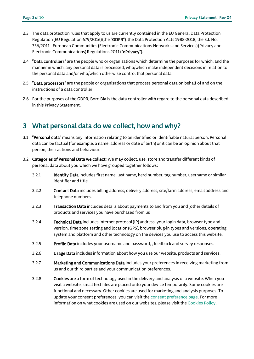- 2.3 The data protection rules that apply to us are currently contained in the EU General Data Protection Regulation (EU Regulation 679/2016) (the "GDPR"), the Data Protection Acts 1988-2018, the S.I. No. 336/2011 - European Communities (Electronic Communications Networks and Services) (Privacy and Electronic Communications) Regulations 2011 ("ePrivacy").
- 2.4 "Data controllers" are the people who or organisations which determine the purposes for which, and the manner in which, any personal data is processed, who/which make independent decisions in relation to the personal data and/or who/which otherwise control that personal data.
- 2.5 **"Data processors"** are the people or organisations that process personal data on behalf of and on the instructions of a data controller.
- 2.6 For the purposes of the GDPR, Bord Bia is the data controller with regard to the personal data described in this Privacy Statement.

#### <span id="page-3-0"></span>3 What personal data do we collect, how and why?

- 3.1 "Personal data" means any information relating to an identified or identifiable natural person. Personal data can be factual (for example, a name, address or date of birth) or it can be an opinion about that person, their actions and behaviour.
- 3.2 Categories of Personal Data we collect: We may collect, use, store and transfer different kinds of personal data about you which we have grouped together follows:
	- 3.2.1 Identity Data includes first name, last name, herd number, tag number, username or similar identifier and title.
	- 3.2.2 Contact Data includes billing address, delivery address, site/farm address, email address and telephone numbers.
	- 3.2.3 Transaction Data includes details about payments to and from you and [other details of products and services you have purchased from us
	- 3.2.4 Technical Data includes internet protocol (IP) address, your login data, browser type and version, time zone setting and location (GPS), browser plug-in types and versions, operating system and platform and other technology on the devices you use to access this website.
	- 3.2.5 Profile Data includes your username and password, , feedback and survey responses.
	- 3.2.6 Usage Data includes information about how you use our website, products and services.
	- 3.2.7 Marketing and Communications Data includes your preferences in receiving marketing from us and our third parties and your communication preferences.
	- 3.2.8 Cookies are a form of technology used in the delivery and analysis of a website. When you visit a website, small text files are placed onto your device temporarily. Some cookies are functional and necessary. Other cookies are used for marketing and analysis purposes. To update your consent preferences, you can visit the [consent preference page.](https://www.bordbia.ie/about/cookie-declaration/) For more information on what cookies are used on our websites, please visit the [Cookies Policy.](https://www.bordbia.ie/about/cookie-declaration/)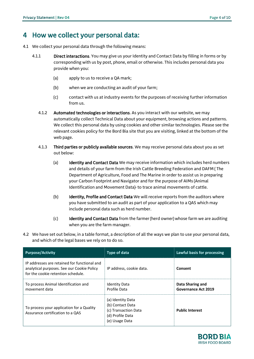#### <span id="page-4-0"></span>4 How we collect your personal data:

- 4.1 We collect your personal data through the following means:
	- 4.1.1 **Direct interactions.** You may give us your Identity and Contact Data by filling in forms or by corresponding with us by post, phone, email or otherwise. This includes personal data you provide when you:
		- (a) apply to us to receive a QA mark;
		- (b) when we are conducting an audit of your farm;
		- (c) contact with us at industry events for the purposes of receiving further information from us.
		- 4.1.2 Automated technologies or interactions. As you interact with our website, we may automatically collect Technical Data about your equipment, browsing actions and patterns. We collect this personal data by using cookies and other similar technologies. Please see the relevant cookies policy for the Bord Bia site that you are visiting, linked at the bottom of the web page.
		- 4.1.3 Third parties or publicly available sources. We may receive personal data about you as set out below:
			- (a) Identity and Contact Data We may receive information which includes herd numbers and details of your farm from the Irish Cattle Breeding Federation and DAFM ( The Department of Agriculture, Food and The Marine in order to assist us in preparing your Carbon Footprint and Navigator and for the purpose of AIMs (Animal Identification and Movement Data)- to trace animal movements of cattle.
			- (b) Identity, Profile and Contact Data We will receive reports from the auditors where you have submitted to an audit as part of your application to a QAS which may include personal data such as herd number.
			- (c) Identity and Contact Data from the farmer (herd owner) whose farm we are auditing when you are the farm manager.
- 4.2 We have set out below, in a table format, a description of all the ways we plan to use your personal data, and which of the legal bases we rely on to do so.

| <b>Purpose/Activity</b>                                                                                                          | <b>Type of data</b>                                                                                 | Lawful basis for processing                    |
|----------------------------------------------------------------------------------------------------------------------------------|-----------------------------------------------------------------------------------------------------|------------------------------------------------|
| IP addresses are retained for functional and<br>analytical purposes. See our Cookie Policy<br>for the cookie retention schedule. | IP address, cookie data.                                                                            | Consent                                        |
| To process Animal Identification and<br>movement data                                                                            | <b>Identity Data</b><br>Profile Data                                                                | Data Sharing and<br><b>Governance Act 2019</b> |
| To process your application for a Quality<br>Assurance certification to a OAS                                                    | (a) Identity Data<br>(b) Contact Data<br>(c) Transaction Data<br>(d) Profile Data<br>(e) Usage Data | <b>Public Interest</b>                         |

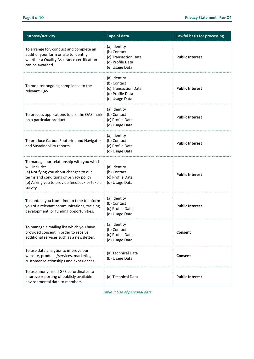| <b>Purpose/Activity</b>                                                                                                                                                                                  | <b>Type of data</b>                                                                       | Lawful basis for processing |
|----------------------------------------------------------------------------------------------------------------------------------------------------------------------------------------------------------|-------------------------------------------------------------------------------------------|-----------------------------|
| To arrange for, conduct and complete an<br>audit of your farm or site to identify<br>whether a Quality Assurance certification<br>can be awarded                                                         | (a) Identity<br>(b) Contact<br>(c) Transaction Data<br>(d) Profile Data<br>(e) Usage Data | <b>Public Interest</b>      |
| To monitor ongoing compliance to the<br>relevant QAS                                                                                                                                                     | (a) Identity<br>(b) Contact<br>(c) Transaction Data<br>(d) Profile Data<br>(e) Usage Data | <b>Public Interest</b>      |
| To process applications to use the QAS mark<br>on a particular product                                                                                                                                   | (a) Identity<br>(b) Contact<br>(c) Profile Data<br>(d) Usage Data                         | <b>Public Interest</b>      |
| To produce Carbon Footprint and Navigator<br>and Sustainability reports                                                                                                                                  | (a) Identity<br>(b) Contact<br>(c) Profile Data<br>(d) Usage Data                         | <b>Public Interest</b>      |
| To manage our relationship with you which<br>will include:<br>(a) Notifying you about changes to our<br>terms and conditions or privacy policy<br>(b) Asking you to provide feedback or take a<br>survey | (a) Identity<br>(b) Contact<br>(c) Profile Data<br>(d) Usage Data                         | <b>Public Interest</b>      |
| To contact you from time to time to inform<br>you of a relevant communications, training,<br>development, or funding opportunities.                                                                      | (a) Identity<br>(b) Contact<br>(c) Profile Data<br>(d) Usage Data                         | <b>Public Interest</b>      |
| To manage a mailing list which you have<br>provided consent in order to receive<br>additional services such as a newsletter.                                                                             | (a) Identity<br>(b) Contact<br>(c) Profile Data<br>(d) Usage Data                         | Consent                     |
| To use data analytics to improve our<br>website, products/services, marketing,<br>customer relationships and experiences                                                                                 | (a) Technical Data<br>(b) Usage Data                                                      | Consent                     |
| To use anonymised GPS co-ordinates to<br>improve reporting of publicly available<br>environmental data to members                                                                                        | (a) Technical Data                                                                        | <b>Public Interest</b>      |

Table 1: Use of personal data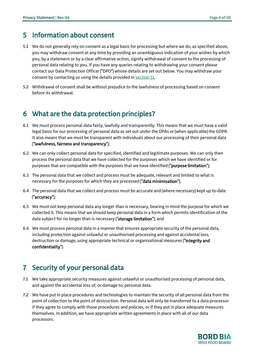#### <span id="page-6-0"></span>5 Information about consent

- 5.1 We do not generally rely on consent as a legal basis for processing but where we do, as specified above, you may withdraw consent at any time by providing an unambiguous indication of your wishes by which you, by a statement or by a clear affirmative action, signify withdrawal of consent to the processing of personal data relating to you. If you have any queries relating to withdrawing your consent please contact our Data Protection Officer ("DPO") whose details are set out below. You may withdraw your consent by contacting us using the details provided i[n section 11.](#page-9-1)
- 5.2 Withdrawal of consent shall be without prejudice to the lawfulness of processing based on consent before its withdrawal.

#### <span id="page-6-1"></span>6 What are the data protection principles?

- 6.1 We must process personal data fairly, lawfully and transparently. This means that we must have a valid legal basis for our processing of personal data as set out under the DPAs or (when applicable) the GDPR. It also means that we must be transparent with individuals about our processing of their personal data ("lawfulness, fairness and transparency");
- 6.2 We can only collect personal data for specified, identified and legitimate purposes. We can only then process the personal data that we have collected for the purposes which we have identified or for purposes that are compatible with the purposes that we have identified ("purpose limitation");
- 6.3 The personal data that we collect and process must be adequate, relevant and limited to what is necessary for the purposes for which they are processed ("data minimisation");
- 6.4 The personal data that we collect and process must be accurate and (where necessary) kept up to-date ("accuracy");
- 6.5 We must not keep personal data any longer than is necessary, bearing in mind the purpose for which we collected it. This means that we should keep personal data in a form which permits identification of the data subject for no longer than is necessary ("storage limitation"); and
- 6.6 We must process personal data in a manner that ensures appropriate security of the personal data, including protection against unlawful or unauthorised processing and against accidental loss, destruction or damage, using appropriate technical or organisational measures ("integrity and confidentiality").

## <span id="page-6-2"></span>7 Security of your personal data

- 7.1 We take appropriate security measures against unlawful or unauthorised processing of personal data, and against the accidental loss of, or damage to, personal data.
- 7.2 We have put in place procedures and technologies to maintain the security of all personal data from the point of collection to the point of destruction. Personal data will only be transferred to a data processor if they agree to comply with those procedures and policies, or if they put in place adequate measures themselves. In addition, we have appropriate written agreements in place with all of our data processors.

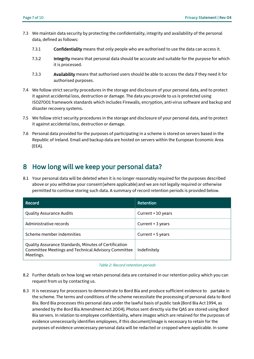- 7.3 We maintain data security by protecting the confidentiality, integrity and availability of the personal data, defined as follows:
	- 7.3.1 Confidentiality means that only people who are authorised to use the data can access it.
	- 7.3.2 Integrity means that personal data should be accurate and suitable for the purpose for which it is processed.
	- 7.3.3 Availability means that authorised users should be able to access the data if they need it for authorised purposes.
- 7.4 We follow strict security procedures in the storage and disclosure of your personal data, and to protect it against accidental loss, destruction or damage. The data you provide to us is protected using ISO27001 framework standards which includes Firewalls, encryption, anti-virus software and backup and disaster recovery systems.
- 7.5 We follow strict security procedures in the storage and disclosure of your personal data, and to protect it against accidental loss, destruction or damage.
- 7.6 Personal data provided for the purposes of participating in a scheme is stored on servers based in the Republic of Ireland. Email and backup data are hosted on servers within the European Economic Area (EEA).

#### <span id="page-7-0"></span>8 How long will we keep your personal data?

8.1 Your personal data will be deleted when it is no longer reasonably required for the purposes described above or you withdraw your consent (where applicable) and we are not legally required or otherwise permitted to continue storing such data. A summary of record retention periods is provided below.

| Record                                                                                                                    | Retention          |
|---------------------------------------------------------------------------------------------------------------------------|--------------------|
| <b>Quality Assurance Audits</b>                                                                                           | Current + 10 years |
| Administrative records                                                                                                    | Current + 3 years  |
| Scheme member indemnities                                                                                                 | Current + 5 years  |
| Quality Assurance Standards, Minutes of Certification<br>Committee Meetings and Technical Advisory Committee<br>Meetings. | Indefinitely       |

#### Table 2: Record retention periods

- 8.2 Further details on how long we retain personal data are contained in our retention policy which you can request from us by contacting us.
- 8.3 It is necessary for processors to demonstrate to Bord Bia and produce sufficient evidence to partake in the scheme. The terms and conditions of the scheme necessitate the processing of personal data to Bord Bia. Bord Bia processes this personal data under the lawful basis of public task (Bord Bia Act 1994, as amended by the Bord Bia Amendment Act 2004). Photos sent directly via the QAS are stored using Bord Bia servers. In relation to employee confidentiality, where images which are retained for the purposes of evidence unnecessarily identifies employees, if this document/image is necessary to retain for the purposes of evidence unnecessary personal data will be redacted or cropped where applicable. In some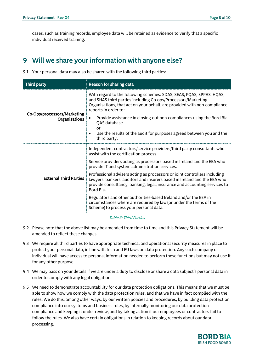cases, such as training records, employee data will be retained as evidence to verify that a specific individual received training.

## <span id="page-8-0"></span>9 Will we share your information with anyone else?

9.1 Your personal data may also be shared with the following third parties:

| Third party                                  | Reason for sharing data                                                                                                                                                                                                                         |
|----------------------------------------------|-------------------------------------------------------------------------------------------------------------------------------------------------------------------------------------------------------------------------------------------------|
|                                              | With regard to the following schemes: SDAS, SEAS, PQAS, SPPAS, HQAS,<br>and SHAS third parties including Co-ops/Processors/Marketing<br>Organisations, that act on your behalf, are provided with non-compliance<br>reports in order to:        |
| Co-Ops/processors/Marketing<br>Organisations | Provide assistance in closing-out non-compliances using the Bord Bia<br>QAS database<br>or<br>Use the results of the audit for purposes agreed between you and the<br>third party.                                                              |
|                                              | Independent contractors/service providers/third party consultants who<br>assist with the certification process.                                                                                                                                 |
|                                              | Service providers acting as processors based in Ireland and the EEA who<br>provide IT and system administration services.                                                                                                                       |
| <b>External Third Parties</b>                | Professional advisers acting as processors or joint controllers including<br>lawyers, bankers, auditors and insurers based in Ireland and the EEA who<br>provide consultancy, banking, legal, insurance and accounting services to<br>Bord Bia. |
|                                              | Regulators and other authorities-based Ireland and/or the EEA in<br>circumstances where are required by law (or under the terms of the<br>Scheme) to process your personal data.                                                                |

#### Table 3: Third Parties

- 9.2 Please note that the above list may be amended from time to time and this Privacy Statement will be amended to reflect these changes.
- 9.3 We require all third parties to have appropriate technical and operational security measures in place to protect your personal data, in line with Irish and EU laws on data protection. Any such company or individual will have access to personal information needed to perform these functions but may not use it for any other purpose.
- 9.4 We may pass on your details if we are under a duty to disclose or share a data subject's personal data in order to comply with any legal obligation.
- 9.5 We need to demonstrate accountability for our data protection obligations. This means that we must be able to show how we comply with the data protection rules, and that we have in fact complied with the rules. We do this, among other ways, by our written policies and procedures, by building data protection compliance into our systems and business rules, by internally monitoring our data protection compliance and keeping it under review, and by taking action if our employees or contractors fail to follow the rules. We also have certain obligations in relation to keeping records about our data processing.

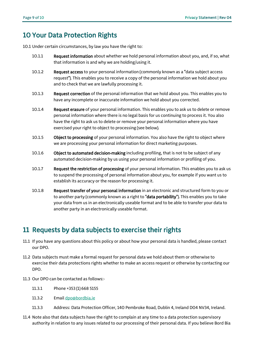## <span id="page-9-0"></span>10 Your Data Protection Rights

10.1 Under certain circumstances, by law you have the right to:

- 10.1.1 Request information about whether we hold personal information about you, and, if so, what that information is and why we are holding/using it.
- 10.1.2 Request access to your personal information (commonly known as a "data subject access request"). This enables you to receive a copy of the personal information we hold about you and to check that we are lawfully processing it.
- 10.1.3 Request correction of the personal information that we hold about you. This enables you to have any incomplete or inaccurate information we hold about you corrected.
- 10.1.4 Request erasure of your personal information. This enables you to ask us to delete or remove personal information where there is no legal basis for us continuing to process it. You also have the right to ask us to delete or remove your personal information where you have exercised your right to object to processing (see below).
- 10.1.5 Object to processing of your personal information. You also have the right to object where we are processing your personal information for direct marketing purposes.
- 10.1.6 Object to automated decision-making including profiling, that is not to be subject of any automated decision-making by us using your personal information or profiling of you.
- 10.1.7 Request the restriction of processing of your personal information. This enables you to ask us to suspend the processing of personal information about you, for example if you want us to establish its accuracy or the reason for processing it.
- 10.1.8 Request transfer of your personal information in an electronic and structured form to you or to another party (commonly known as a right to "data portability"). This enables you to take your data from us in an electronically useable format and to be able to transfer your data to another party in an electronically useable format.

## <span id="page-9-1"></span>11 Requests by data subjects to exercise their rights

- 11.1 If you have any questions about this policy or about how your personal data is handled, please contact our DPO.
- 11.2 Data subjects must make a formal request for personal data we hold about them or otherwise to exercise their data protections rights whether to make an access request or otherwise by contacting our DPO.
- 11.3 Our DPO can be contacted as follows:-
	- 11.3.1 Phone +353 (1) 668 5155
	- 11.3.2 Email [dpo@bordbia.ie](mailto:dpo@bordbia.ie)
	- 11.3.3 Address: Data Protection Officer, 140 Pembroke Road, Dublin 4, Ireland D04 NV34, Ireland.
- 11.4 Note also that data subjects have the right to complain at any time to a data protection supervisory authority in relation to any issues related to our processing of their personal data. If you believe Bord Bia